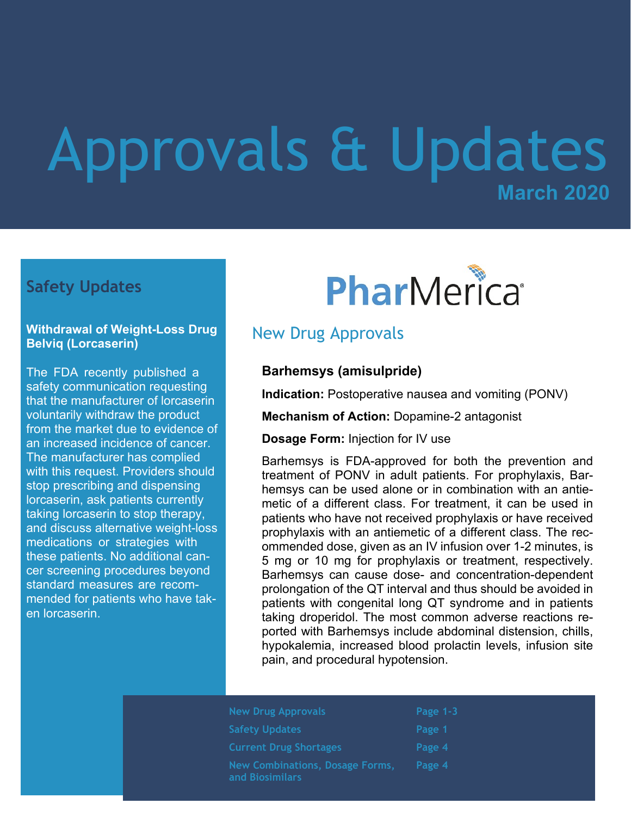## **March 2020** Approvals & Updates

## **Safety Updates**

#### **Withdrawal of Weight-Loss Drug Belviq (Lorcaserin)**

The FDA recently published a safety communication requesting that the manufacturer of lorcaserin voluntarily withdraw the product from the market due to evidence of an increased incidence of cancer. The manufacturer has complied with this request. Providers should stop prescribing and dispensing lorcaserin, ask patients currently taking lorcaserin to stop therapy, and discuss alternative weight-loss medications or strategies with these patients. No additional cancer screening procedures beyond standard measures are recommended for patients who have taken lorcaserin.

# PharMerica®

## New Drug Approvals

#### **Barhemsys (amisulpride)**

**Indication:** Postoperative nausea and vomiting (PONV)

**Mechanism of Action:** Dopamine-2 antagonist

**Dosage Form:** Injection for IV use

Barhemsys is FDA-approved for both the prevention and treatment of PONV in adult patients. For prophylaxis, Barhemsys can be used alone or in combination with an antiemetic of a different class. For treatment, it can be used in patients who have not received prophylaxis or have received prophylaxis with an antiemetic of a different class. The recommended dose, given as an IV infusion over 1-2 minutes, is 5 mg or 10 mg for prophylaxis or treatment, respectively. Barhemsys can cause dose- and concentration-dependent prolongation of the QT interval and thus should be avoided in patients with congenital long QT syndrome and in patients taking droperidol. The most common adverse reactions reported with Barhemsys include abdominal distension, chills, hypokalemia, increased blood prolactin levels, infusion site pain, and procedural hypotension.

| <b>New Drug Approvals</b>                                 | Page $1-3$ |
|-----------------------------------------------------------|------------|
| <b>Safety Updates</b>                                     | Page 1     |
| <b>Current Drug Shortages</b>                             | Page 4     |
| <b>New Combinations, Dosage Forms,</b><br>and Biosimilars | Page 4     |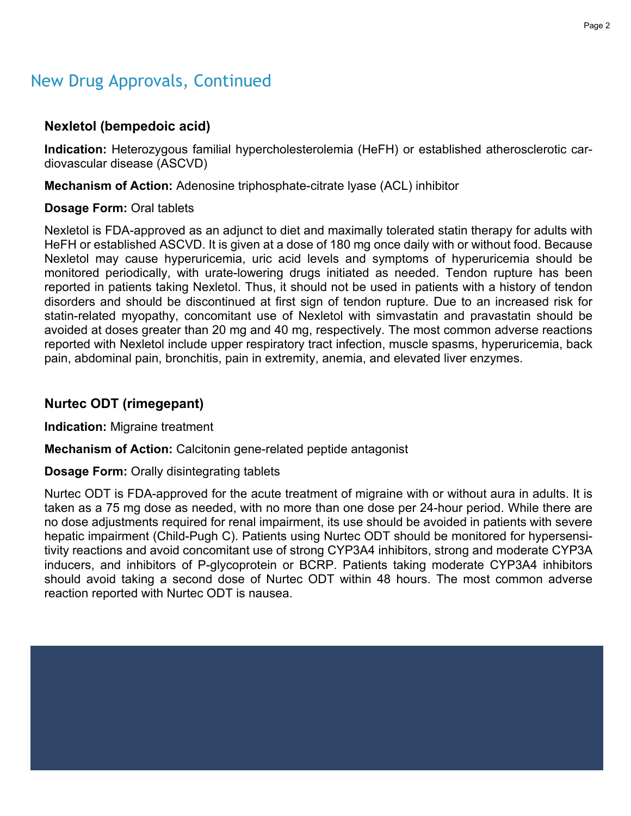#### Page 2

### New Drug Approvals, Continued

#### **Nexletol (bempedoic acid)**

**Indication:** Heterozygous familial hypercholesterolemia (HeFH) or established atherosclerotic cardiovascular disease (ASCVD)

**Mechanism of Action:** Adenosine triphosphate-citrate lyase (ACL) inhibitor

#### **Dosage Form:** Oral tablets

Nexletol is FDA-approved as an adjunct to diet and maximally tolerated statin therapy for adults with HeFH or established ASCVD. It is given at a dose of 180 mg once daily with or without food. Because Nexletol may cause hyperuricemia, uric acid levels and symptoms of hyperuricemia should be monitored periodically, with urate-lowering drugs initiated as needed. Tendon rupture has been reported in patients taking Nexletol. Thus, it should not be used in patients with a history of tendon disorders and should be discontinued at first sign of tendon rupture. Due to an increased risk for statin-related myopathy, concomitant use of Nexletol with simvastatin and pravastatin should be avoided at doses greater than 20 mg and 40 mg, respectively. The most common adverse reactions reported with Nexletol include upper respiratory tract infection, muscle spasms, hyperuricemia, back pain, abdominal pain, bronchitis, pain in extremity, anemia, and elevated liver enzymes.

#### **Nurtec ODT (rimegepant)**

**Indication:** Migraine treatment

**Mechanism of Action:** Calcitonin gene-related peptide antagonist

#### **Dosage Form:** Orally disintegrating tablets

Nurtec ODT is FDA-approved for the acute treatment of migraine with or without aura in adults. It is taken as a 75 mg dose as needed, with no more than one dose per 24-hour period. While there are no dose adjustments required for renal impairment, its use should be avoided in patients with severe hepatic impairment (Child-Pugh C). Patients using Nurtec ODT should be monitored for hypersensitivity reactions and avoid concomitant use of strong CYP3A4 inhibitors, strong and moderate CYP3A inducers, and inhibitors of P-glycoprotein or BCRP. Patients taking moderate CYP3A4 inhibitors should avoid taking a second dose of Nurtec ODT within 48 hours. The most common adverse reaction reported with Nurtec ODT is nausea.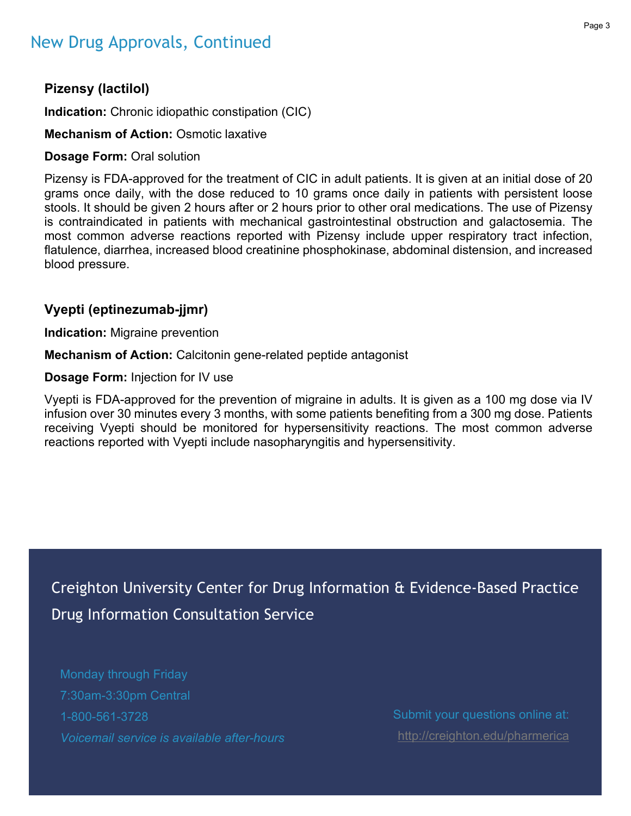## New Drug Approvals, Continued

#### Page 3

#### **Pizensy (lactilol)**

**Indication:** Chronic idiopathic constipation (CIC)

#### **Mechanism of Action:** Osmotic laxative

#### **Dosage Form:** Oral solution

Pizensy is FDA-approved for the treatment of CIC in adult patients. It is given at an initial dose of 20 grams once daily, with the dose reduced to 10 grams once daily in patients with persistent loose stools. It should be given 2 hours after or 2 hours prior to other oral medications. The use of Pizensy is contraindicated in patients with mechanical gastrointestinal obstruction and galactosemia. The most common adverse reactions reported with Pizensy include upper respiratory tract infection, flatulence, diarrhea, increased blood creatinine phosphokinase, abdominal distension, and increased blood pressure.

#### **Vyepti (eptinezumab-jjmr)**

**Indication:** Migraine prevention

**Mechanism of Action:** Calcitonin gene-related peptide antagonist

**Dosage Form:** Injection for IV use

Vyepti is FDA-approved for the prevention of migraine in adults. It is given as a 100 mg dose via IV infusion over 30 minutes every 3 months, with some patients benefiting from a 300 mg dose. Patients receiving Vyepti should be monitored for hypersensitivity reactions. The most common adverse reactions reported with Vyepti include nasopharyngitis and hypersensitivity.

Creighton University Center for Drug Information & Evidence-Based Practice Drug Information Consultation Service

Monday through Friday 7:30am-3:30pm Central 1-800-561-3728 *Voicemail service is available after-hours*

Submit your questions online at: <http://creighton.edu/pharmerica>